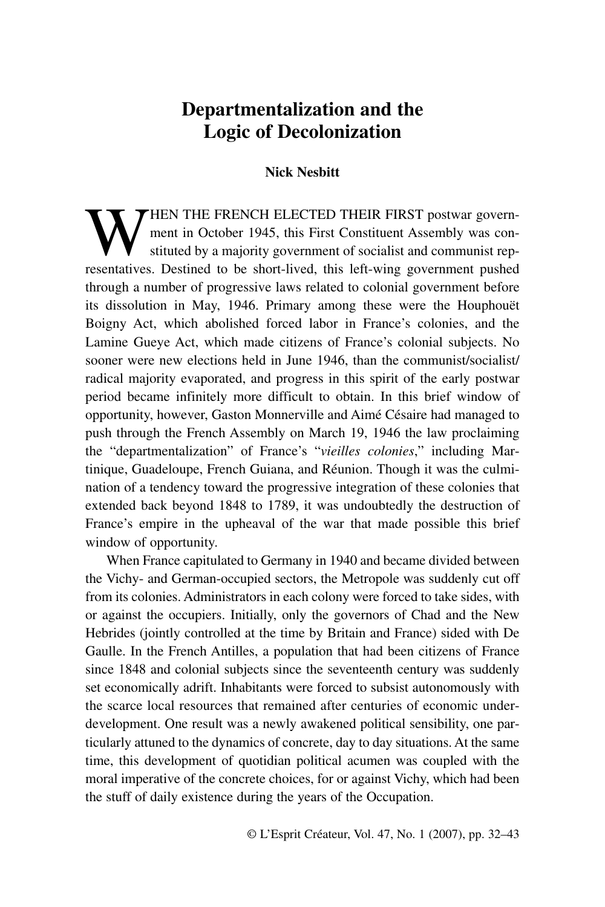# **Departmentalization and the Logic of Decolonization**

## **Nick Nesbitt**

WHEN THE FRENCH ELECTED THEIR FIRST postwar govern-<br>
stituted by a majority government of socialist and communist rep-<br>
recentatives. Destined to be short lived, this left wing government puched ment in October 1945, this First Constituent Assembly was conresentatives. Destined to be short-lived, this left-wing government pushed through a number of progressive laws related to colonial government before its dissolution in May, 1946. Primary among these were the Houphouët Boigny Act, which abolished forced labor in France's colonies, and the Lamine Gueye Act, which made citizens of France's colonial subjects. No sooner were new elections held in June 1946, than the communist/socialist/ radical majority evaporated, and progress in this spirit of the early postwar period became infinitely more difficult to obtain. In this brief window of opportunity, however, Gaston Monnerville and Aimé Césaire had managed to push through the French Assembly on March 19, 1946 the law proclaiming the "departmentalization" of France's "*vieilles colonies*," including Martinique, Guadeloupe, French Guiana, and Réunion. Though it was the culmination of a tendency toward the progressive integration of these colonies that extended back beyond 1848 to 1789, it was undoubtedly the destruction of France's empire in the upheaval of the war that made possible this brief window of opportunity.

When France capitulated to Germany in 1940 and became divided between the Vichy- and German-occupied sectors, the Metropole was suddenly cut off from its colonies. Administrators in each colony were forced to take sides, with or against the occupiers. Initially, only the governors of Chad and the New Hebrides (jointly controlled at the time by Britain and France) sided with De Gaulle. In the French Antilles, a population that had been citizens of France since 1848 and colonial subjects since the seventeenth century was suddenly set economically adrift. Inhabitants were forced to subsist autonomously with the scarce local resources that remained after centuries of economic underdevelopment. One result was a newly awakened political sensibility, one particularly attuned to the dynamics of concrete, day to day situations. At the same time, this development of quotidian political acumen was coupled with the moral imperative of the concrete choices, for or against Vichy, which had been the stuff of daily existence during the years of the Occupation.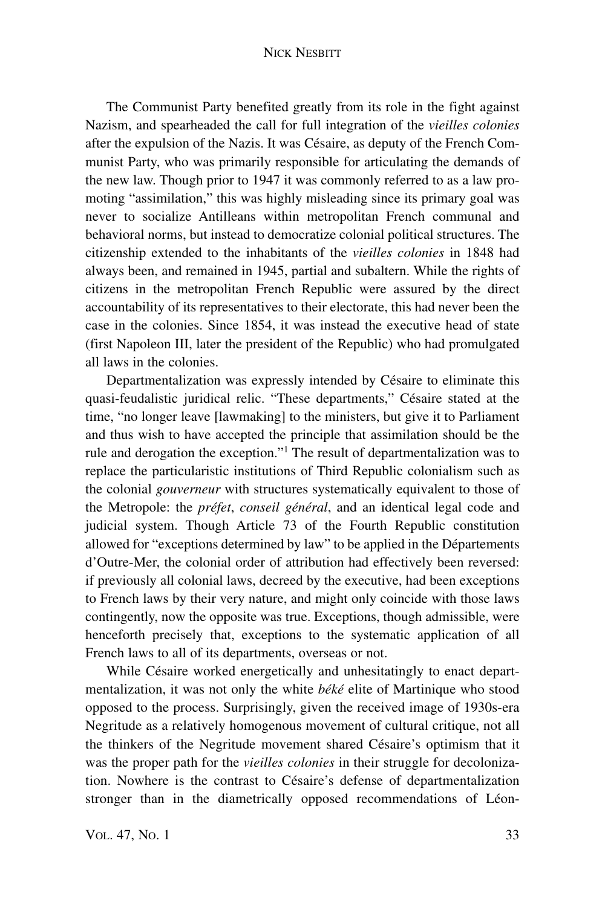### NICK NESBITT

The Communist Party benefited greatly from its role in the fight against Nazism, and spearheaded the call for full integration of the *vieilles colonies* after the expulsion of the Nazis. It was Césaire, as deputy of the French Communist Party, who was primarily responsible for articulating the demands of the new law. Though prior to 1947 it was commonly referred to as a law promoting "assimilation," this was highly misleading since its primary goal was never to socialize Antilleans within metropolitan French communal and behavioral norms, but instead to democratize colonial political structures. The citizenship extended to the inhabitants of the *vieilles colonies* in 1848 had always been, and remained in 1945, partial and subaltern. While the rights of citizens in the metropolitan French Republic were assured by the direct accountability of its representatives to their electorate, this had never been the case in the colonies. Since 1854, it was instead the executive head of state (first Napoleon III, later the president of the Republic) who had promulgated all laws in the colonies.

Departmentalization was expressly intended by Césaire to eliminate this quasi-feudalistic juridical relic. "These departments," Césaire stated at the time, "no longer leave [lawmaking] to the ministers, but give it to Parliament and thus wish to have accepted the principle that assimilation should be the rule and derogation the exception."1 The result of departmentalization was to replace the particularistic institutions of Third Republic colonialism such as the colonial *gouverneur* with structures systematically equivalent to those of the Metropole: the *préfet*, *conseil général*, and an identical legal code and judicial system. Though Article 73 of the Fourth Republic constitution allowed for "exceptions determined by law" to be applied in the Départements d'Outre-Mer, the colonial order of attribution had effectively been reversed: if previously all colonial laws, decreed by the executive, had been exceptions to French laws by their very nature, and might only coincide with those laws contingently, now the opposite was true. Exceptions, though admissible, were henceforth precisely that, exceptions to the systematic application of all French laws to all of its departments, overseas or not.

While Césaire worked energetically and unhesitatingly to enact departmentalization, it was not only the white *béké* elite of Martinique who stood opposed to the process. Surprisingly, given the received image of 1930s-era Negritude as a relatively homogenous movement of cultural critique, not all the thinkers of the Negritude movement shared Césaire's optimism that it was the proper path for the *vieilles colonies* in their struggle for decolonization. Nowhere is the contrast to Césaire's defense of departmentalization stronger than in the diametrically opposed recommendations of Léon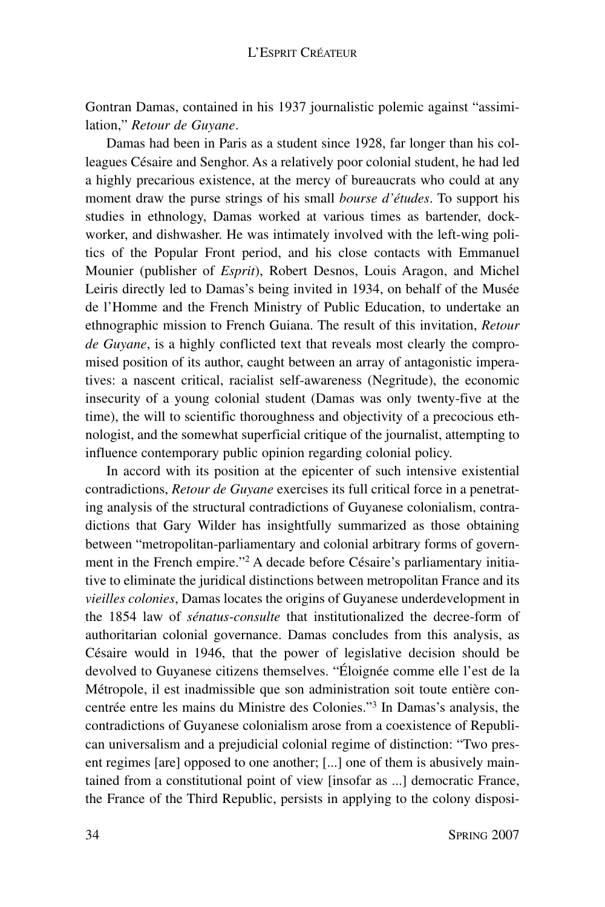Gontran Damas, contained in his 1937 journalistic polemic against "assimilation," *Retour de Guyane*.

Damas had been in Paris as a student since 1928, far longer than his colleagues Césaire and Senghor. As a relatively poor colonial student, he had led a highly precarious existence, at the mercy of bureaucrats who could at any moment draw the purse strings of his small *bourse d'études*. To support his studies in ethnology, Damas worked at various times as bartender, dockworker, and dishwasher. He was intimately involved with the left-wing politics of the Popular Front period, and his close contacts with Emmanuel Mounier (publisher of *Esprit*), Robert Desnos, Louis Aragon, and Michel Leiris directly led to Damas's being invited in 1934, on behalf of the Musée de l'Homme and the French Ministry of Public Education, to undertake an ethnographic mission to French Guiana. The result of this invitation, *Retour de Guyane*, is a highly conflicted text that reveals most clearly the compromised position of its author, caught between an array of antagonistic imperatives: a nascent critical, racialist self-awareness (Negritude), the economic insecurity of a young colonial student (Damas was only twenty-five at the time), the will to scientific thoroughness and objectivity of a precocious ethnologist, and the somewhat superficial critique of the journalist, attempting to influence contemporary public opinion regarding colonial policy.

In accord with its position at the epicenter of such intensive existential contradictions, *Retour de Guyane* exercises its full critical force in a penetrating analysis of the structural contradictions of Guyanese colonialism, contradictions that Gary Wilder has insightfully summarized as those obtaining between "metropolitan-parliamentary and colonial arbitrary forms of government in the French empire."2 A decade before Césaire's parliamentary initiative to eliminate the juridical distinctions between metropolitan France and its *vieilles colonies*, Damas locates the origins of Guyanese underdevelopment in the 1854 law of *sénatus-consulte* that institutionalized the decree-form of authoritarian colonial governance. Damas concludes from this analysis, as Césaire would in 1946, that the power of legislative decision should be devolved to Guyanese citizens themselves. "Éloignée comme elle l'est de la Métropole, il est inadmissible que son administration soit toute entière concentrée entre les mains du Ministre des Colonies."3 In Damas's analysis, the contradictions of Guyanese colonialism arose from a coexistence of Republican universalism and a prejudicial colonial regime of distinction: "Two present regimes [are] opposed to one another; [...] one of them is abusively maintained from a constitutional point of view [insofar as ...] democratic France, the France of the Third Republic, persists in applying to the colony disposi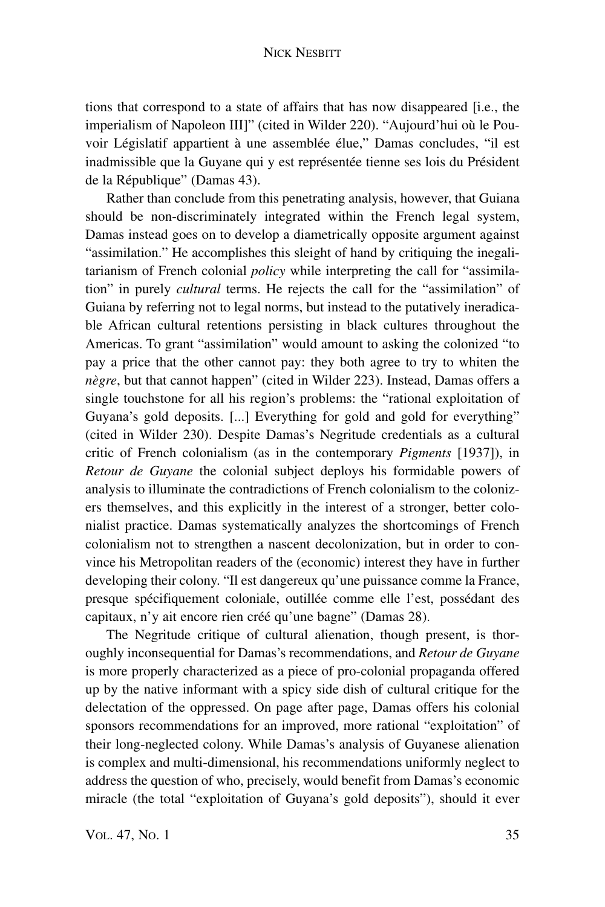tions that correspond to a state of affairs that has now disappeared [i.e., the imperialism of Napoleon III]" (cited in Wilder 220). "Aujourd'hui où le Pouvoir Législatif appartient à une assemblée élue," Damas concludes, "il est inadmissible que la Guyane qui y est représentée tienne ses lois du Président de la République" (Damas 43).

Rather than conclude from this penetrating analysis, however, that Guiana should be non-discriminately integrated within the French legal system, Damas instead goes on to develop a diametrically opposite argument against "assimilation." He accomplishes this sleight of hand by critiquing the inegalitarianism of French colonial *policy* while interpreting the call for "assimilation" in purely *cultural* terms. He rejects the call for the "assimilation" of Guiana by referring not to legal norms, but instead to the putatively ineradicable African cultural retentions persisting in black cultures throughout the Americas. To grant "assimilation" would amount to asking the colonized "to pay a price that the other cannot pay: they both agree to try to whiten the *nègre*, but that cannot happen" (cited in Wilder 223). Instead, Damas offers a single touchstone for all his region's problems: the "rational exploitation of Guyana's gold deposits. [...] Everything for gold and gold for everything" (cited in Wilder 230). Despite Damas's Negritude credentials as a cultural critic of French colonialism (as in the contemporary *Pigments* [1937]), in *Retour de Guyane* the colonial subject deploys his formidable powers of analysis to illuminate the contradictions of French colonialism to the colonizers themselves, and this explicitly in the interest of a stronger, better colonialist practice. Damas systematically analyzes the shortcomings of French colonialism not to strengthen a nascent decolonization, but in order to convince his Metropolitan readers of the (economic) interest they have in further developing their colony. "Il est dangereux qu'une puissance comme la France, presque spécifiquement coloniale, outillée comme elle l'est, possédant des capitaux, n'y ait encore rien créé qu'une bagne" (Damas 28).

The Negritude critique of cultural alienation, though present, is thoroughly inconsequential for Damas's recommendations, and *Retour de Guyane* is more properly characterized as a piece of pro-colonial propaganda offered up by the native informant with a spicy side dish of cultural critique for the delectation of the oppressed. On page after page, Damas offers his colonial sponsors recommendations for an improved, more rational "exploitation" of their long-neglected colony. While Damas's analysis of Guyanese alienation is complex and multi-dimensional, his recommendations uniformly neglect to address the question of who, precisely, would benefit from Damas's economic miracle (the total "exploitation of Guyana's gold deposits"), should it ever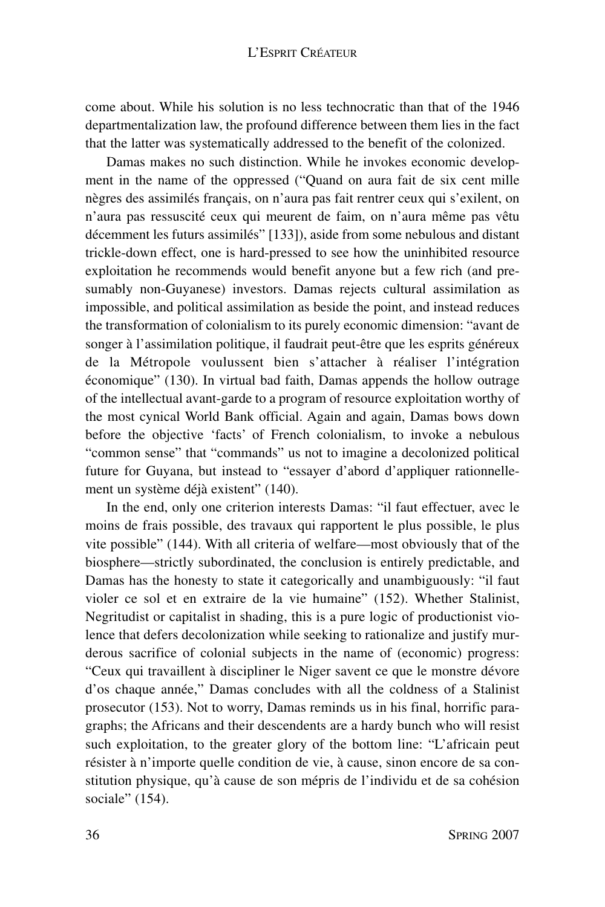### L'ESPRIT CRÉATEUR

come about. While his solution is no less technocratic than that of the 1946 departmentalization law, the profound difference between them lies in the fact that the latter was systematically addressed to the benefit of the colonized.

Damas makes no such distinction. While he invokes economic development in the name of the oppressed ("Quand on aura fait de six cent mille nègres des assimilés français, on n'aura pas fait rentrer ceux qui s'exilent, on n'aura pas ressuscité ceux qui meurent de faim, on n'aura même pas vêtu décemment les futurs assimilés" [133]), aside from some nebulous and distant trickle-down effect, one is hard-pressed to see how the uninhibited resource exploitation he recommends would benefit anyone but a few rich (and presumably non-Guyanese) investors. Damas rejects cultural assimilation as impossible, and political assimilation as beside the point, and instead reduces the transformation of colonialism to its purely economic dimension: "avant de songer à l'assimilation politique, il faudrait peut-être que les esprits généreux de la Métropole voulussent bien s'attacher à réaliser l'intégration économique" (130). In virtual bad faith, Damas appends the hollow outrage of the intellectual avant-garde to a program of resource exploitation worthy of the most cynical World Bank official. Again and again, Damas bows down before the objective 'facts' of French colonialism, to invoke a nebulous "common sense" that "commands" us not to imagine a decolonized political future for Guyana, but instead to "essayer d'abord d'appliquer rationnellement un système déjà existent" (140).

In the end, only one criterion interests Damas: "il faut effectuer, avec le moins de frais possible, des travaux qui rapportent le plus possible, le plus vite possible" (144). With all criteria of welfare—most obviously that of the biosphere—strictly subordinated, the conclusion is entirely predictable, and Damas has the honesty to state it categorically and unambiguously: "il faut violer ce sol et en extraire de la vie humaine" (152). Whether Stalinist, Negritudist or capitalist in shading, this is a pure logic of productionist violence that defers decolonization while seeking to rationalize and justify murderous sacrifice of colonial subjects in the name of (economic) progress: "Ceux qui travaillent à discipliner le Niger savent ce que le monstre dévore d'os chaque année," Damas concludes with all the coldness of a Stalinist prosecutor (153). Not to worry, Damas reminds us in his final, horrific paragraphs; the Africans and their descendents are a hardy bunch who will resist such exploitation, to the greater glory of the bottom line: "L'africain peut résister à n'importe quelle condition de vie, à cause, sinon encore de sa constitution physique, qu'à cause de son mépris de l'individu et de sa cohésion sociale" (154).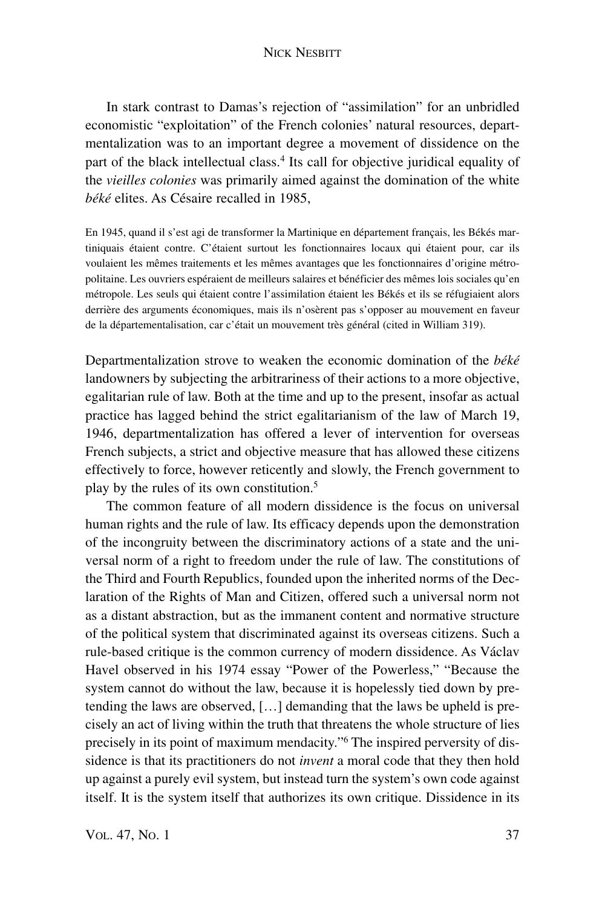In stark contrast to Damas's rejection of "assimilation" for an unbridled economistic "exploitation" of the French colonies' natural resources, departmentalization was to an important degree a movement of dissidence on the part of the black intellectual class.4 Its call for objective juridical equality of the *vieilles colonies* was primarily aimed against the domination of the white *béké* elites. As Césaire recalled in 1985,

En 1945, quand il s'est agi de transformer la Martinique en département français, les Békés martiniquais étaient contre. C'étaient surtout les fonctionnaires locaux qui étaient pour, car ils voulaient les mêmes traitements et les mêmes avantages que les fonctionnaires d'origine métropolitaine. Les ouvriers espéraient de meilleurs salaires et bénéficier des mêmes lois sociales qu'en métropole. Les seuls qui étaient contre l'assimilation étaient les Békés et ils se réfugiaient alors derrière des arguments économiques, mais ils n'osèrent pas s'opposer au mouvement en faveur de la départementalisation, car c'était un mouvement très général (cited in William 319).

Departmentalization strove to weaken the economic domination of the *béké* landowners by subjecting the arbitrariness of their actions to a more objective, egalitarian rule of law. Both at the time and up to the present, insofar as actual practice has lagged behind the strict egalitarianism of the law of March 19, 1946, departmentalization has offered a lever of intervention for overseas French subjects, a strict and objective measure that has allowed these citizens effectively to force, however reticently and slowly, the French government to play by the rules of its own constitution.5

The common feature of all modern dissidence is the focus on universal human rights and the rule of law. Its efficacy depends upon the demonstration of the incongruity between the discriminatory actions of a state and the universal norm of a right to freedom under the rule of law. The constitutions of the Third and Fourth Republics, founded upon the inherited norms of the Declaration of the Rights of Man and Citizen, offered such a universal norm not as a distant abstraction, but as the immanent content and normative structure of the political system that discriminated against its overseas citizens. Such a rule-based critique is the common currency of modern dissidence. As Václav Havel observed in his 1974 essay "Power of the Powerless," "Because the system cannot do without the law, because it is hopelessly tied down by pretending the laws are observed, […] demanding that the laws be upheld is precisely an act of living within the truth that threatens the whole structure of lies precisely in its point of maximum mendacity."6 The inspired perversity of dissidence is that its practitioners do not *invent* a moral code that they then hold up against a purely evil system, but instead turn the system's own code against itself. It is the system itself that authorizes its own critique. Dissidence in its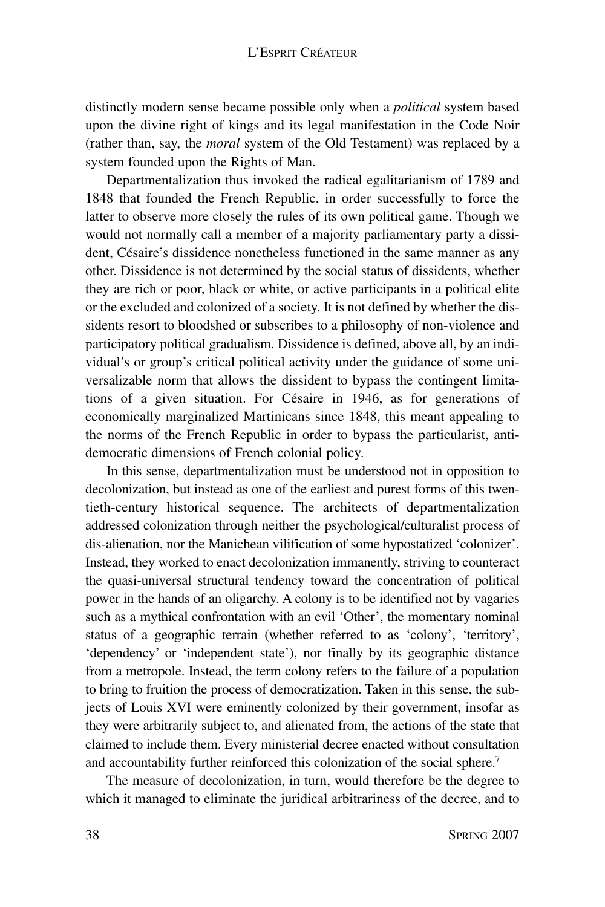distinctly modern sense became possible only when a *political* system based upon the divine right of kings and its legal manifestation in the Code Noir (rather than, say, the *moral* system of the Old Testament) was replaced by a system founded upon the Rights of Man.

Departmentalization thus invoked the radical egalitarianism of 1789 and 1848 that founded the French Republic, in order successfully to force the latter to observe more closely the rules of its own political game. Though we would not normally call a member of a majority parliamentary party a dissident, Césaire's dissidence nonetheless functioned in the same manner as any other. Dissidence is not determined by the social status of dissidents, whether they are rich or poor, black or white, or active participants in a political elite or the excluded and colonized of a society. It is not defined by whether the dissidents resort to bloodshed or subscribes to a philosophy of non-violence and participatory political gradualism. Dissidence is defined, above all, by an individual's or group's critical political activity under the guidance of some universalizable norm that allows the dissident to bypass the contingent limitations of a given situation. For Césaire in 1946, as for generations of economically marginalized Martinicans since 1848, this meant appealing to the norms of the French Republic in order to bypass the particularist, antidemocratic dimensions of French colonial policy.

In this sense, departmentalization must be understood not in opposition to decolonization, but instead as one of the earliest and purest forms of this twentieth-century historical sequence. The architects of departmentalization addressed colonization through neither the psychological/culturalist process of dis-alienation, nor the Manichean vilification of some hypostatized 'colonizer'. Instead, they worked to enact decolonization immanently, striving to counteract the quasi-universal structural tendency toward the concentration of political power in the hands of an oligarchy. A colony is to be identified not by vagaries such as a mythical confrontation with an evil 'Other', the momentary nominal status of a geographic terrain (whether referred to as 'colony', 'territory', 'dependency' or 'independent state'), nor finally by its geographic distance from a metropole. Instead, the term colony refers to the failure of a population to bring to fruition the process of democratization. Taken in this sense, the subjects of Louis XVI were eminently colonized by their government, insofar as they were arbitrarily subject to, and alienated from, the actions of the state that claimed to include them. Every ministerial decree enacted without consultation and accountability further reinforced this colonization of the social sphere. 7

The measure of decolonization, in turn, would therefore be the degree to which it managed to eliminate the juridical arbitrariness of the decree, and to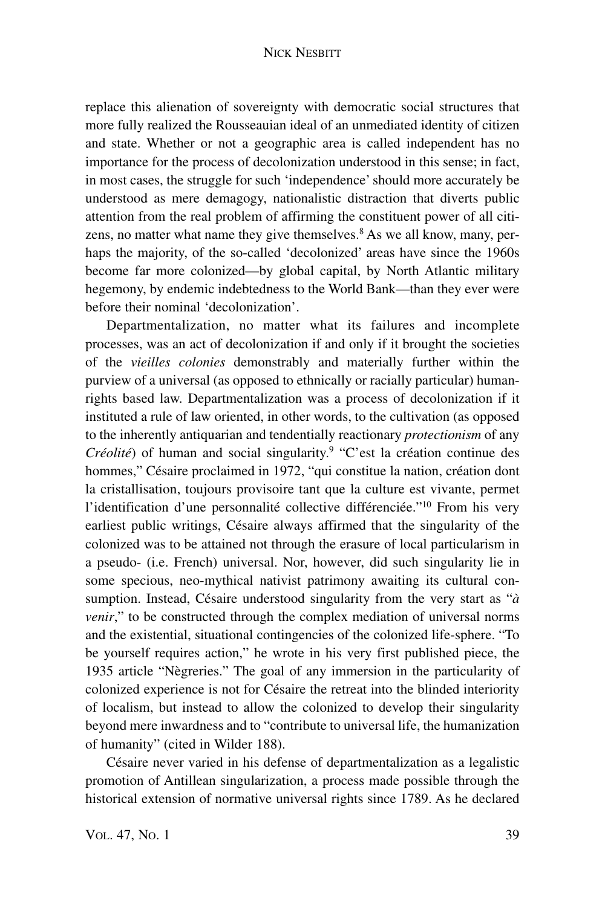### NICK NESBITT

replace this alienation of sovereignty with democratic social structures that more fully realized the Rousseauian ideal of an unmediated identity of citizen and state. Whether or not a geographic area is called independent has no importance for the process of decolonization understood in this sense; in fact, in most cases, the struggle for such 'independence'should more accurately be understood as mere demagogy, nationalistic distraction that diverts public attention from the real problem of affirming the constituent power of all citizens, no matter what name they give themselves. $8$  As we all know, many, perhaps the majority, of the so-called 'decolonized' areas have since the 1960s become far more colonized—by global capital, by North Atlantic military hegemony, by endemic indebtedness to the World Bank—than they ever were before their nominal 'decolonization'.

Departmentalization, no matter what its failures and incomplete processes, was an act of decolonization if and only if it brought the societies of the *vieilles colonies* demonstrably and materially further within the purview of a universal (as opposed to ethnically or racially particular) humanrights based law. Departmentalization was a process of decolonization if it instituted a rule of law oriented, in other words, to the cultivation (as opposed to the inherently antiquarian and tendentially reactionary *protectionism* of any *Créolité*) of human and social singularity. <sup>9</sup> "C'est la création continue des hommes," Césaire proclaimed in 1972, "qui constitue la nation, création dont la cristallisation, toujours provisoire tant que la culture est vivante, permet l'identification d'une personnalité collective différenciée."<sup>10</sup> From his very earliest public writings, Césaire always affirmed that the singularity of the colonized was to be attained not through the erasure of local particularism in a pseudo- (i.e. French) universal. Nor, however, did such singularity lie in some specious, neo-mythical nativist patrimony awaiting its cultural consumption. Instead, Césaire understood singularity from the very start as "*à venir*," to be constructed through the complex mediation of universal norms and the existential, situational contingencies of the colonized life-sphere. "To be yourself requires action," he wrote in his very first published piece, the 1935 article "Nègreries." The goal of any immersion in the particularity of colonized experience is not for Césaire the retreat into the blinded interiority of localism, but instead to allow the colonized to develop their singularity beyond mere inwardness and to "contribute to universal life, the humanization of humanity" (cited in Wilder 188).

Césaire never varied in his defense of departmentalization as a legalistic promotion of Antillean singularization, a process made possible through the historical extension of normative universal rights since 1789. As he declared

VOL. 47, No. 1 39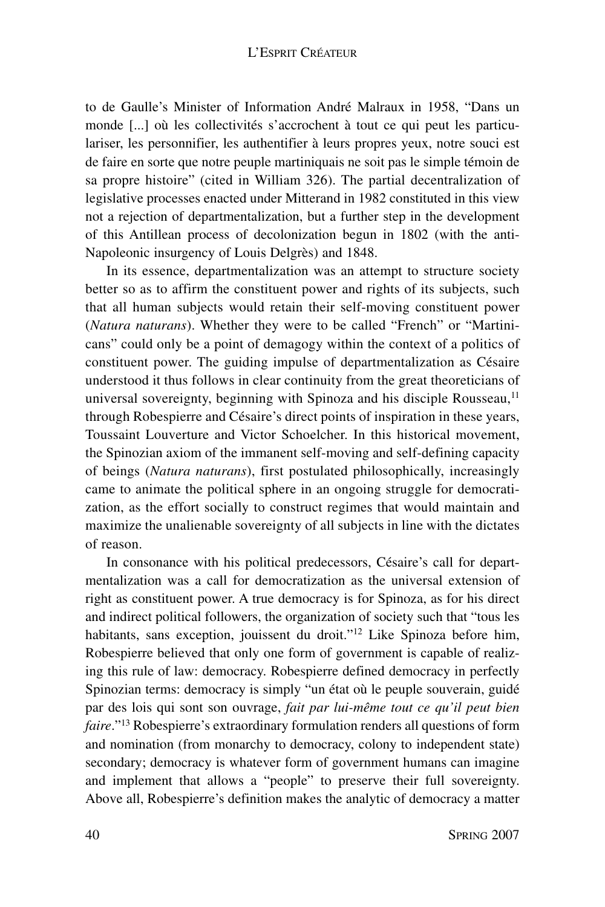to de Gaulle's Minister of Information André Malraux in 1958, "Dans un monde [...] où les collectivités s'accrochent à tout ce qui peut les particulariser, les personnifier, les authentifier à leurs propres yeux, notre souci est de faire en sorte que notre peuple martiniquais ne soit pas le simple témoin de sa propre histoire" (cited in William 326). The partial decentralization of legislative processes enacted under Mitterand in 1982 constituted in this view not a rejection of departmentalization, but a further step in the development of this Antillean process of decolonization begun in 1802 (with the anti-Napoleonic insurgency of Louis Delgrès) and 1848.

In its essence, departmentalization was an attempt to structure society better so as to affirm the constituent power and rights of its subjects, such that all human subjects would retain their self-moving constituent power (*Natura naturans*). Whether they were to be called "French" or "Martinicans" could only be a point of demagogy within the context of a politics of constituent power. The guiding impulse of departmentalization as Césaire understood it thus follows in clear continuity from the great theoreticians of universal sovereignty, beginning with Spinoza and his disciple Rousseau,<sup>11</sup> through Robespierre and Césaire's direct points of inspiration in these years, Toussaint Louverture and Victor Schoelcher. In this historical movement, the Spinozian axiom of the immanent self-moving and self-defining capacity of beings (*Natura naturans*), first postulated philosophically, increasingly came to animate the political sphere in an ongoing struggle for democratization, as the effort socially to construct regimes that would maintain and maximize the unalienable sovereignty of all subjects in line with the dictates of reason.

In consonance with his political predecessors, Césaire's call for departmentalization was a call for democratization as the universal extension of right as constituent power. A true democracy is for Spinoza, as for his direct and indirect political followers, the organization of society such that "tous les habitants, sans exception, jouissent du droit."<sup>12</sup> Like Spinoza before him, Robespierre believed that only one form of government is capable of realizing this rule of law: democracy. Robespierre defined democracy in perfectly Spinozian terms: democracy is simply "un état où le peuple souverain, guidé par des lois qui sont son ouvrage, *fait par lui-même tout ce qu'il peut bien faire*."13 Robespierre's extraordinary formulation renders all questions of form and nomination (from monarchy to democracy, colony to independent state) secondary; democracy is whatever form of government humans can imagine and implement that allows a "people" to preserve their full sovereignty. Above all, Robespierre's definition makes the analytic of democracy a matter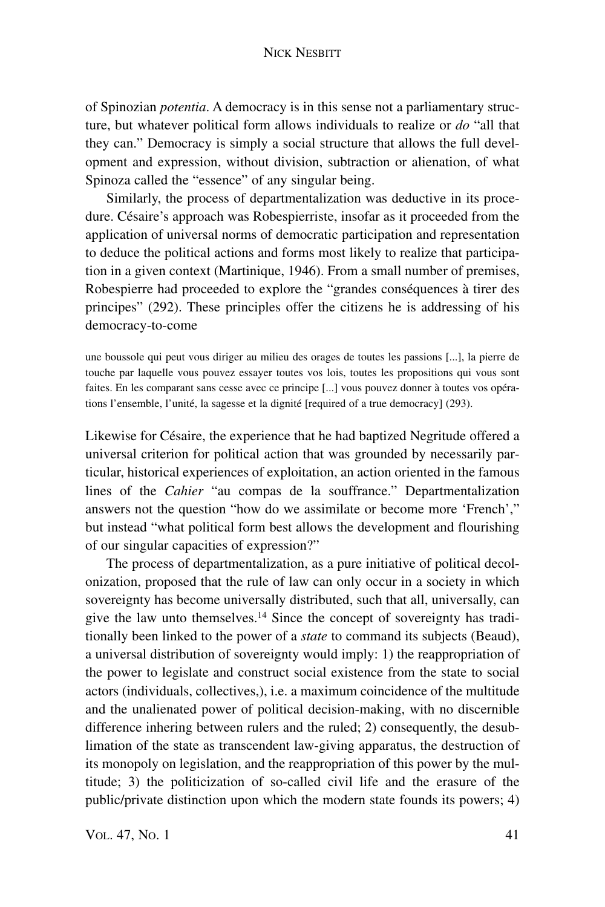#### NICK NESBITT

of Spinozian *potentia*. A democracy is in this sense not a parliamentary structure, but whatever political form allows individuals to realize or *do* "all that they can." Democracy is simply a social structure that allows the full development and expression, without division, subtraction or alienation, of what Spinoza called the "essence" of any singular being.

Similarly, the process of departmentalization was deductive in its procedure. Césaire's approach was Robespierriste, insofar as it proceeded from the application of universal norms of democratic participation and representation to deduce the political actions and forms most likely to realize that participation in a given context (Martinique, 1946). From a small number of premises, Robespierre had proceeded to explore the "grandes conséquences à tirer des principes" (292). These principles offer the citizens he is addressing of his democracy-to-come

une boussole qui peut vous diriger au milieu des orages de toutes les passions [...], la pierre de touche par laquelle vous pouvez essayer toutes vos lois, toutes les propositions qui vous sont faites. En les comparant sans cesse avec ce principe [...] vous pouvez donner à toutes vos opérations l'ensemble, l'unité, la sagesse et la dignité [required of a true democracy] (293).

Likewise for Césaire, the experience that he had baptized Negritude offered a universal criterion for political action that was grounded by necessarily particular, historical experiences of exploitation, an action oriented in the famous lines of the *Cahier* "au compas de la souffrance." Departmentalization answers not the question "how do we assimilate or become more 'French'," but instead "what political form best allows the development and flourishing of our singular capacities of expression?"

The process of departmentalization, as a pure initiative of political decolonization, proposed that the rule of law can only occur in a society in which sovereignty has become universally distributed, such that all, universally, can give the law unto themselves.14 Since the concept of sovereignty has traditionally been linked to the power of a *state* to command its subjects (Beaud), a universal distribution of sovereignty would imply: 1) the reappropriation of the power to legislate and construct social existence from the state to social actors (individuals, collectives,), i.e. a maximum coincidence of the multitude and the unalienated power of political decision-making, with no discernible difference inhering between rulers and the ruled; 2) consequently, the desublimation of the state as transcendent law-giving apparatus, the destruction of its monopoly on legislation, and the reappropriation of this power by the multitude; 3) the politicization of so-called civil life and the erasure of the public/private distinction upon which the modern state founds its powers; 4)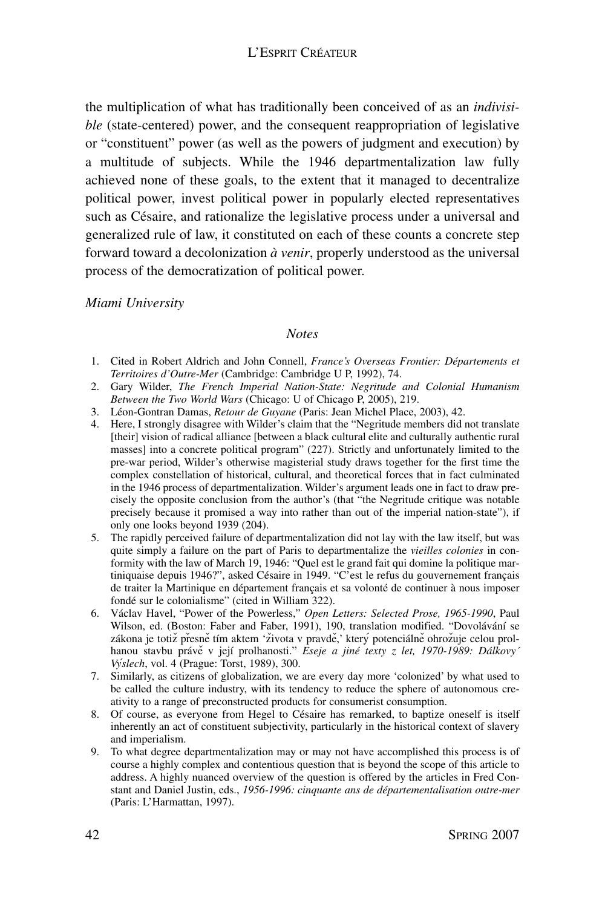the multiplication of what has traditionally been conceived of as an *indivisible* (state-centered) power, and the consequent reappropriation of legislative or "constituent" power (as well as the powers of judgment and execution) by a multitude of subjects. While the 1946 departmentalization law fully achieved none of these goals, to the extent that it managed to decentralize political power, invest political power in popularly elected representatives such as Césaire, and rationalize the legislative process under a universal and generalized rule of law, it constituted on each of these counts a concrete step forward toward a decolonization *à venir*, properly understood as the universal process of the democratization of political power.

*Miami University*

#### *Notes*

- 1. Cited in Robert Aldrich and John Connell, *France's Overseas Frontier: Départements et Territoires d'Outre-Mer* (Cambridge: Cambridge U P, 1992), 74.
- 2. Gary Wilder, *The French Imperial Nation-State: Negritude and Colonial Humanism Between the Two World Wars* (Chicago: U of Chicago P, 2005), 219.
- 3. Léon-Gontran Damas, *Retour de Guyane* (Paris: Jean Michel Place, 2003), 42.
- 4. Here, I strongly disagree with Wilder's claim that the "Negritude members did not translate [their] vision of radical alliance [between a black cultural elite and culturally authentic rural masses] into a concrete political program" (227). Strictly and unfortunately limited to the pre-war period, Wilder's otherwise magisterial study draws together for the first time the complex constellation of historical, cultural, and theoretical forces that in fact culminated in the 1946 process of departmentalization. Wilder's argument leads one in fact to draw precisely the opposite conclusion from the author's (that "the Negritude critique was notable precisely because it promised a way into rather than out of the imperial nation-state"), if only one looks beyond 1939 (204).
- 5. The rapidly perceived failure of departmentalization did not lay with the law itself, but was quite simply a failure on the part of Paris to departmentalize the *vieilles colonies* in conformity with the law of March 19, 1946: "Quel est le grand fait qui domine la politique martiniquaise depuis 1946?", asked Césaire in 1949. "C'est le refus du gouvernement français de traiter la Martinique en département français et sa volonté de continuer à nous imposer fondé sur le colonialisme" (cited in William 322).
- 6. Václav Havel, "Power of the Powerless," *Open Letters: Selected Prose, 1965-1990*, Paul Wilson, ed. (Boston: Faber and Faber, 1991), 190, translation modified. "Dovolávání se zákona je totiž přesně tím aktem 'života v pravdě,' který potenciálně ohrožuje celou prolhanou stavbu právě v její prolhanosti." Eseje a jiné texty z let, 1970-1989: Dálkovy<sup>-</sup> *Vy´slech*, vol. 4 (Prague: Torst, 1989), 300.
- 7. Similarly, as citizens of globalization, we are every day more 'colonized' by what used to be called the culture industry, with its tendency to reduce the sphere of autonomous creativity to a range of preconstructed products for consumerist consumption.
- 8. Of course, as everyone from Hegel to Césaire has remarked, to baptize oneself is itself inherently an act of constituent subjectivity, particularly in the historical context of slavery and imperialism.
- 9. To what degree departmentalization may or may not have accomplished this process is of course a highly complex and contentious question that is beyond the scope of this article to address. A highly nuanced overview of the question is offered by the articles in Fred Constant and Daniel Justin, eds., *1956-1996: cinquante ans de départementalisation outre-mer* (Paris: L'Harmattan, 1997).